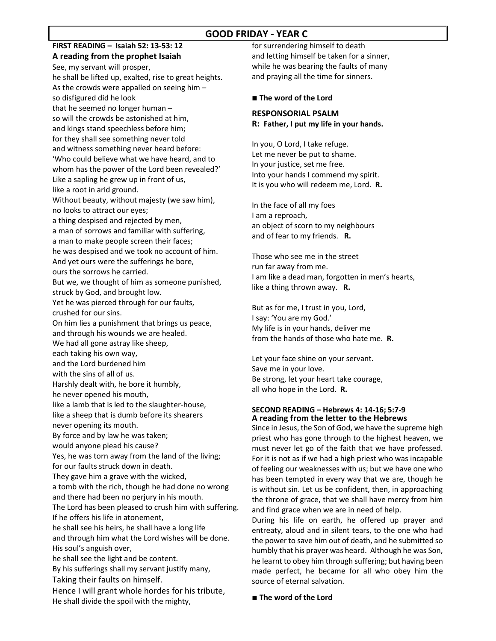# GOOD FRIDAY - YEAR C

## FIRST READING – Isaiah 52: 13-53: 12 A reading from the prophet Isaiah

See, my servant will prosper, he shall be lifted up, exalted, rise to great heights. As the crowds were appalled on seeing him – so disfigured did he look that he seemed no longer human – so will the crowds be astonished at him, and kings stand speechless before him; for they shall see something never told and witness something never heard before: 'Who could believe what we have heard, and to whom has the power of the Lord been revealed?' Like a sapling he grew up in front of us, like a root in arid ground. Without beauty, without majesty (we saw him), no looks to attract our eyes; a thing despised and rejected by men, a man of sorrows and familiar with suffering, a man to make people screen their faces; he was despised and we took no account of him. And yet ours were the sufferings he bore, ours the sorrows he carried. But we, we thought of him as someone punished, struck by God, and brought low. Yet he was pierced through for our faults, crushed for our sins. On him lies a punishment that brings us peace, and through his wounds we are healed. We had all gone astray like sheep, each taking his own way, and the Lord burdened him with the sins of all of us. Harshly dealt with, he bore it humbly, he never opened his mouth, like a lamb that is led to the slaughter-house, like a sheep that is dumb before its shearers never opening its mouth. By force and by law he was taken; would anyone plead his cause? Yes, he was torn away from the land of the living; for our faults struck down in death. They gave him a grave with the wicked, a tomb with the rich, though he had done no wrong and there had been no perjury in his mouth. The Lord has been pleased to crush him with suffering. If he offers his life in atonement, he shall see his heirs, he shall have a long life and through him what the Lord wishes will be done. His soul's anguish over, he shall see the light and be content. By his sufferings shall my servant justify many, Taking their faults on himself. Hence I will grant whole hordes for his tribute, He shall divide the spoil with the mighty,

for surrendering himself to death and letting himself be taken for a sinner, while he was bearing the faults of many and praying all the time for sinners.

## ■ The word of the Lord

## RESPONSORIAL PSALM R: Father, I put my life in your hands.

In you, O Lord, I take refuge. Let me never be put to shame. In your justice, set me free. Into your hands I commend my spirit. It is you who will redeem me, Lord. R.

In the face of all my foes I am a reproach, an object of scorn to my neighbours and of fear to my friends. R.

Those who see me in the street run far away from me. I am like a dead man, forgotten in men's hearts, like a thing thrown away. R.

But as for me, I trust in you, Lord, I say: 'You are my God.' My life is in your hands, deliver me from the hands of those who hate me. R.

Let your face shine on your servant. Save me in your love. Be strong, let your heart take courage, all who hope in the Lord. R.

## SECOND READING – Hebrews 4: 14-16; 5:7-9 A reading from the letter to the Hebrews

Since in Jesus, the Son of God, we have the supreme high priest who has gone through to the highest heaven, we must never let go of the faith that we have professed. For it is not as if we had a high priest who was incapable of feeling our weaknesses with us; but we have one who has been tempted in every way that we are, though he is without sin. Let us be confident, then, in approaching the throne of grace, that we shall have mercy from him and find grace when we are in need of help.

During his life on earth, he offered up prayer and entreaty, aloud and in silent tears, to the one who had the power to save him out of death, and he submitted so humbly that his prayer was heard. Although he was Son, he learnt to obey him through suffering; but having been made perfect, he became for all who obey him the source of eternal salvation.

## ■ The word of the Lord